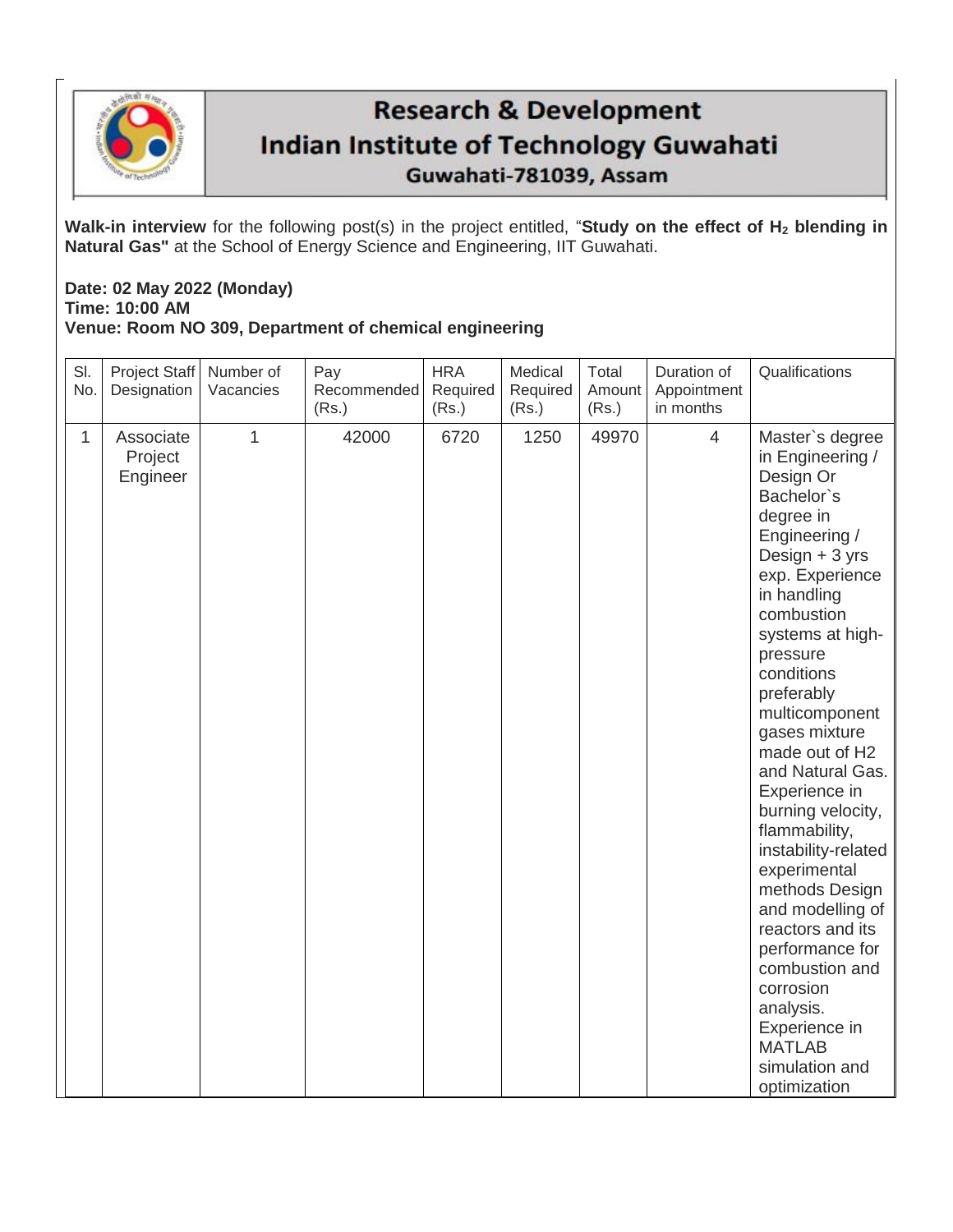

## **Research & Development Indian Institute of Technology Guwahati** Guwahati-781039, Assam

**Walk-in interview** for the following post(s) in the project entitled, "**Study on the effect of H<sup>2</sup> blending in Natural Gas"** at the School of Energy Science and Engineering, IIT Guwahati.

## **Date: 02 May 2022 (Monday) Time: 10:00 AM Venue: Room NO 309, Department of chemical engineering**

| SI.<br>No. | Project Staff<br>Designation     | Number of<br>Vacancies | Pay<br>Recommended<br>(Rs.) | <b>HRA</b><br>Required<br>(Rs.) | Medical<br>Required<br>(Rs.) | Total<br>Amount<br>(Rs.) | Duration of<br>Appointment<br>in months | Qualifications                                                                                                                                                                                                                                                                                                                                                                                                                                                                                                                                                                                 |
|------------|----------------------------------|------------------------|-----------------------------|---------------------------------|------------------------------|--------------------------|-----------------------------------------|------------------------------------------------------------------------------------------------------------------------------------------------------------------------------------------------------------------------------------------------------------------------------------------------------------------------------------------------------------------------------------------------------------------------------------------------------------------------------------------------------------------------------------------------------------------------------------------------|
| 1          | Associate<br>Project<br>Engineer | $\mathbf{1}$           | 42000                       | 6720                            | 1250                         | 49970                    | $\overline{4}$                          | Master's degree<br>in Engineering /<br>Design Or<br>Bachelor's<br>degree in<br>Engineering /<br>Design + 3 yrs<br>exp. Experience<br>in handling<br>combustion<br>systems at high-<br>pressure<br>conditions<br>preferably<br>multicomponent<br>gases mixture<br>made out of H2<br>and Natural Gas.<br>Experience in<br>burning velocity,<br>flammability,<br>instability-related<br>experimental<br>methods Design<br>and modelling of<br>reactors and its<br>performance for<br>combustion and<br>corrosion<br>analysis.<br>Experience in<br><b>MATLAB</b><br>simulation and<br>optimization |